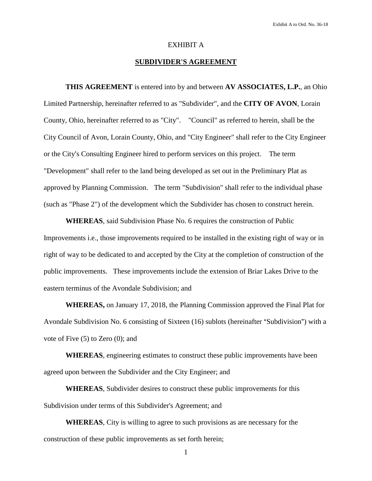## EXHIBIT A

# **SUBDIVIDER'S AGREEMENT**

**THIS AGREEMENT** is entered into by and between **AV ASSOCIATES, L.P.**, an Ohio Limited Partnership, hereinafter referred to as "Subdivider", and the **CITY OF AVON**, Lorain County, Ohio, hereinafter referred to as "City". "Council" as referred to herein, shall be the City Council of Avon, Lorain County, Ohio, and "City Engineer" shall refer to the City Engineer or the City's Consulting Engineer hired to perform services on this project. The term "Development" shall refer to the land being developed as set out in the Preliminary Plat as approved by Planning Commission. The term "Subdivision" shall refer to the individual phase (such as "Phase 2") of the development which the Subdivider has chosen to construct herein.

**WHEREAS**, said Subdivision Phase No. 6 requires the construction of Public Improvements i.e., those improvements required to be installed in the existing right of way or in right of way to be dedicated to and accepted by the City at the completion of construction of the public improvements. These improvements include the extension of Briar Lakes Drive to the eastern terminus of the Avondale Subdivision; and

**WHEREAS,** on January 17, 2018, the Planning Commission approved the Final Plat for Avondale Subdivision No. 6 consisting of Sixteen (16) sublots (hereinafter "Subdivision") with a vote of Five (5) to Zero (0); and

**WHEREAS**, engineering estimates to construct these public improvements have been agreed upon between the Subdivider and the City Engineer; and

**WHEREAS**, Subdivider desires to construct these public improvements for this Subdivision under terms of this Subdivider's Agreement; and

**WHEREAS**, City is willing to agree to such provisions as are necessary for the construction of these public improvements as set forth herein;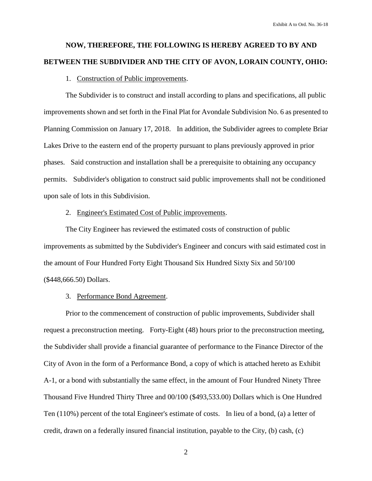# **NOW, THEREFORE, THE FOLLOWING IS HEREBY AGREED TO BY AND BETWEEN THE SUBDIVIDER AND THE CITY OF AVON, LORAIN COUNTY, OHIO:**

#### 1. Construction of Public improvements.

The Subdivider is to construct and install according to plans and specifications, all public improvements shown and set forth in the Final Plat for Avondale Subdivision No. 6 as presented to Planning Commission on January 17, 2018. In addition, the Subdivider agrees to complete Briar Lakes Drive to the eastern end of the property pursuant to plans previously approved in prior phases. Said construction and installation shall be a prerequisite to obtaining any occupancy permits. Subdivider's obligation to construct said public improvements shall not be conditioned upon sale of lots in this Subdivision.

#### 2. Engineer's Estimated Cost of Public improvements.

The City Engineer has reviewed the estimated costs of construction of public improvements as submitted by the Subdivider's Engineer and concurs with said estimated cost in the amount of Four Hundred Forty Eight Thousand Six Hundred Sixty Six and 50/100 (\$448,666.50) Dollars.

### 3. Performance Bond Agreement.

Prior to the commencement of construction of public improvements, Subdivider shall request a preconstruction meeting. Forty-Eight (48) hours prior to the preconstruction meeting, the Subdivider shall provide a financial guarantee of performance to the Finance Director of the City of Avon in the form of a Performance Bond, a copy of which is attached hereto as Exhibit A-1, or a bond with substantially the same effect, in the amount of Four Hundred Ninety Three Thousand Five Hundred Thirty Three and 00/100 (\$493,533.00) Dollars which is One Hundred Ten (110%) percent of the total Engineer's estimate of costs. In lieu of a bond, (a) a letter of credit, drawn on a federally insured financial institution, payable to the City, (b) cash, (c)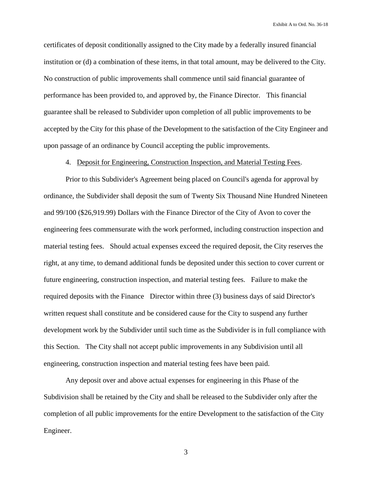certificates of deposit conditionally assigned to the City made by a federally insured financial institution or (d) a combination of these items, in that total amount, may be delivered to the City. No construction of public improvements shall commence until said financial guarantee of performance has been provided to, and approved by, the Finance Director. This financial guarantee shall be released to Subdivider upon completion of all public improvements to be accepted by the City for this phase of the Development to the satisfaction of the City Engineer and upon passage of an ordinance by Council accepting the public improvements.

# 4. Deposit for Engineering, Construction Inspection, and Material Testing Fees.

Prior to this Subdivider's Agreement being placed on Council's agenda for approval by ordinance, the Subdivider shall deposit the sum of Twenty Six Thousand Nine Hundred Nineteen and 99/100 (\$26,919.99) Dollars with the Finance Director of the City of Avon to cover the engineering fees commensurate with the work performed, including construction inspection and material testing fees. Should actual expenses exceed the required deposit, the City reserves the right, at any time, to demand additional funds be deposited under this section to cover current or future engineering, construction inspection, and material testing fees. Failure to make the required deposits with the Finance Director within three (3) business days of said Director's written request shall constitute and be considered cause for the City to suspend any further development work by the Subdivider until such time as the Subdivider is in full compliance with this Section. The City shall not accept public improvements in any Subdivision until all engineering, construction inspection and material testing fees have been paid.

Any deposit over and above actual expenses for engineering in this Phase of the Subdivision shall be retained by the City and shall be released to the Subdivider only after the completion of all public improvements for the entire Development to the satisfaction of the City Engineer.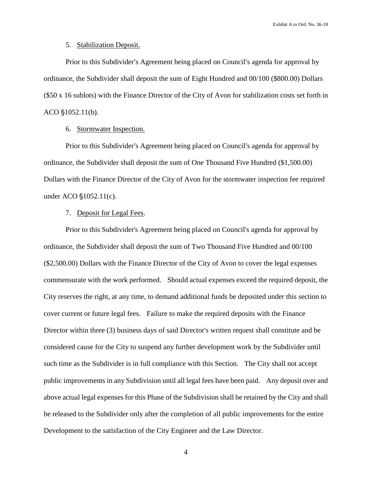# 5. Stabilization Deposit.

Prior to this Subdivider's Agreement being placed on Council's agenda for approval by ordinance, the Subdivider shall deposit the sum of Eight Hundred and 00/100 (\$800.00) Dollars (\$50 x 16 sublots) with the Finance Director of the City of Avon for stabilization costs set forth in  $ACO \S 1052.11(b)$ .

## 6. Stormwater Inspection.

Prior to this Subdivider's Agreement being placed on Council's agenda for approval by ordinance, the Subdivider shall deposit the sum of One Thousand Five Hundred (\$1,500.00) Dollars with the Finance Director of the City of Avon for the stormwater inspection fee required under ACO  $$1052.11(c)$ .

### 7. Deposit for Legal Fees.

Prior to this Subdivider's Agreement being placed on Council's agenda for approval by ordinance, the Subdivider shall deposit the sum of Two Thousand Five Hundred and 00/100 (\$2,500.00) Dollars with the Finance Director of the City of Avon to cover the legal expenses commensurate with the work performed. Should actual expenses exceed the required deposit, the City reserves the right, at any time, to demand additional funds be deposited under this section to cover current or future legal fees. Failure to make the required deposits with the Finance Director within three (3) business days of said Director's written request shall constitute and be considered cause for the City to suspend any further development work by the Subdivider until such time as the Subdivider is in full compliance with this Section. The City shall not accept public improvements in any Subdivision until all legal fees have been paid. Any deposit over and above actual legal expenses for this Phase of the Subdivision shall be retained by the City and shall be released to the Subdivider only after the completion of all public improvements for the entire Development to the satisfaction of the City Engineer and the Law Director.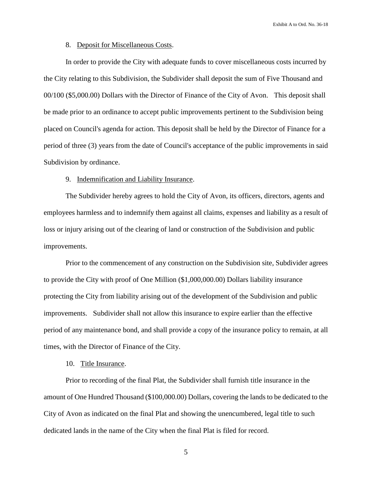## 8. Deposit for Miscellaneous Costs.

In order to provide the City with adequate funds to cover miscellaneous costs incurred by the City relating to this Subdivision, the Subdivider shall deposit the sum of Five Thousand and 00/100 (\$5,000.00) Dollars with the Director of Finance of the City of Avon. This deposit shall be made prior to an ordinance to accept public improvements pertinent to the Subdivision being placed on Council's agenda for action. This deposit shall be held by the Director of Finance for a period of three (3) years from the date of Council's acceptance of the public improvements in said Subdivision by ordinance.

#### 9. Indemnification and Liability Insurance.

The Subdivider hereby agrees to hold the City of Avon, its officers, directors, agents and employees harmless and to indemnify them against all claims, expenses and liability as a result of loss or injury arising out of the clearing of land or construction of the Subdivision and public improvements.

Prior to the commencement of any construction on the Subdivision site, Subdivider agrees to provide the City with proof of One Million (\$1,000,000.00) Dollars liability insurance protecting the City from liability arising out of the development of the Subdivision and public improvements. Subdivider shall not allow this insurance to expire earlier than the effective period of any maintenance bond, and shall provide a copy of the insurance policy to remain, at all times, with the Director of Finance of the City.

### 10. Title Insurance.

Prior to recording of the final Plat, the Subdivider shall furnish title insurance in the amount of One Hundred Thousand (\$100,000.00) Dollars, covering the lands to be dedicated to the City of Avon as indicated on the final Plat and showing the unencumbered, legal title to such dedicated lands in the name of the City when the final Plat is filed for record.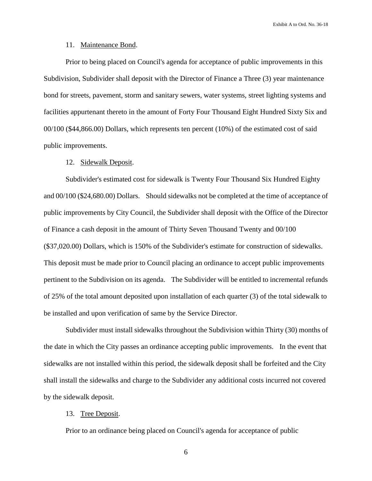## 11. Maintenance Bond.

Prior to being placed on Council's agenda for acceptance of public improvements in this Subdivision, Subdivider shall deposit with the Director of Finance a Three (3) year maintenance bond for streets, pavement, storm and sanitary sewers, water systems, street lighting systems and facilities appurtenant thereto in the amount of Forty Four Thousand Eight Hundred Sixty Six and 00/100 (\$44,866.00) Dollars, which represents ten percent (10%) of the estimated cost of said public improvements.

## 12. Sidewalk Deposit.

Subdivider's estimated cost for sidewalk is Twenty Four Thousand Six Hundred Eighty and 00/100 (\$24,680.00) Dollars. Should sidewalks not be completed at the time of acceptance of public improvements by City Council, the Subdivider shall deposit with the Office of the Director of Finance a cash deposit in the amount of Thirty Seven Thousand Twenty and 00/100 (\$37,020.00) Dollars, which is 150% of the Subdivider's estimate for construction of sidewalks. This deposit must be made prior to Council placing an ordinance to accept public improvements pertinent to the Subdivision on its agenda. The Subdivider will be entitled to incremental refunds of 25% of the total amount deposited upon installation of each quarter (3) of the total sidewalk to be installed and upon verification of same by the Service Director.

Subdivider must install sidewalks throughout the Subdivision within Thirty (30) months of the date in which the City passes an ordinance accepting public improvements. In the event that sidewalks are not installed within this period, the sidewalk deposit shall be forfeited and the City shall install the sidewalks and charge to the Subdivider any additional costs incurred not covered by the sidewalk deposit.

# 13. Tree Deposit.

Prior to an ordinance being placed on Council's agenda for acceptance of public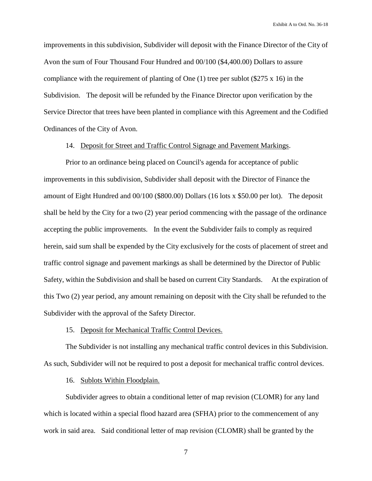improvements in this subdivision, Subdivider will deposit with the Finance Director of the City of Avon the sum of Four Thousand Four Hundred and 00/100 (\$4,400.00) Dollars to assure compliance with the requirement of planting of One  $(1)$  tree per sublot (\$275 x 16) in the Subdivision. The deposit will be refunded by the Finance Director upon verification by the Service Director that trees have been planted in compliance with this Agreement and the Codified Ordinances of the City of Avon.

## 14. Deposit for Street and Traffic Control Signage and Pavement Markings.

Prior to an ordinance being placed on Council's agenda for acceptance of public improvements in this subdivision, Subdivider shall deposit with the Director of Finance the amount of Eight Hundred and 00/100 (\$800.00) Dollars (16 lots x \$50.00 per lot). The deposit shall be held by the City for a two (2) year period commencing with the passage of the ordinance accepting the public improvements. In the event the Subdivider fails to comply as required herein, said sum shall be expended by the City exclusively for the costs of placement of street and traffic control signage and pavement markings as shall be determined by the Director of Public Safety, within the Subdivision and shall be based on current City Standards. At the expiration of this Two (2) year period, any amount remaining on deposit with the City shall be refunded to the Subdivider with the approval of the Safety Director.

# 15. Deposit for Mechanical Traffic Control Devices.

The Subdivider is not installing any mechanical traffic control devices in this Subdivision. As such, Subdivider will not be required to post a deposit for mechanical traffic control devices.

16. Sublots Within Floodplain.

Subdivider agrees to obtain a conditional letter of map revision (CLOMR) for any land which is located within a special flood hazard area (SFHA) prior to the commencement of any work in said area. Said conditional letter of map revision (CLOMR) shall be granted by the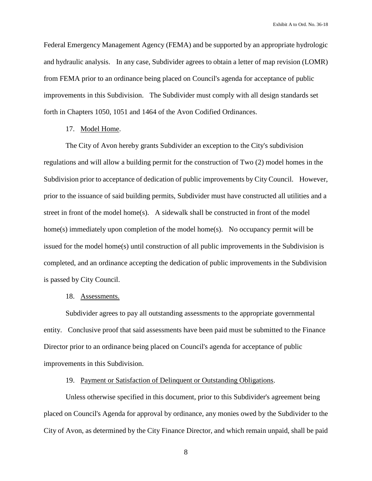Federal Emergency Management Agency (FEMA) and be supported by an appropriate hydrologic and hydraulic analysis. In any case, Subdivider agrees to obtain a letter of map revision (LOMR) from FEMA prior to an ordinance being placed on Council's agenda for acceptance of public improvements in this Subdivision. The Subdivider must comply with all design standards set forth in Chapters 1050, 1051 and 1464 of the Avon Codified Ordinances.

# 17. Model Home.

The City of Avon hereby grants Subdivider an exception to the City's subdivision regulations and will allow a building permit for the construction of Two (2) model homes in the Subdivision prior to acceptance of dedication of public improvements by City Council. However, prior to the issuance of said building permits, Subdivider must have constructed all utilities and a street in front of the model home(s). A sidewalk shall be constructed in front of the model home(s) immediately upon completion of the model home(s). No occupancy permit will be issued for the model home(s) until construction of all public improvements in the Subdivision is completed, and an ordinance accepting the dedication of public improvements in the Subdivision is passed by City Council.

### 18. Assessments.

Subdivider agrees to pay all outstanding assessments to the appropriate governmental entity. Conclusive proof that said assessments have been paid must be submitted to the Finance Director prior to an ordinance being placed on Council's agenda for acceptance of public improvements in this Subdivision.

# 19. Payment or Satisfaction of Delinquent or Outstanding Obligations.

Unless otherwise specified in this document, prior to this Subdivider's agreement being placed on Council's Agenda for approval by ordinance, any monies owed by the Subdivider to the City of Avon, as determined by the City Finance Director, and which remain unpaid, shall be paid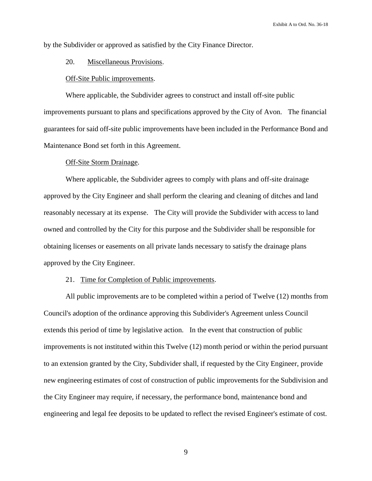by the Subdivider or approved as satisfied by the City Finance Director.

## 20. Miscellaneous Provisions.

#### Off-Site Public improvements.

Where applicable, the Subdivider agrees to construct and install off-site public improvements pursuant to plans and specifications approved by the City of Avon. The financial guarantees for said off-site public improvements have been included in the Performance Bond and Maintenance Bond set forth in this Agreement.

## Off-Site Storm Drainage.

Where applicable, the Subdivider agrees to comply with plans and off-site drainage approved by the City Engineer and shall perform the clearing and cleaning of ditches and land reasonably necessary at its expense. The City will provide the Subdivider with access to land owned and controlled by the City for this purpose and the Subdivider shall be responsible for obtaining licenses or easements on all private lands necessary to satisfy the drainage plans approved by the City Engineer.

## 21. Time for Completion of Public improvements.

All public improvements are to be completed within a period of Twelve (12) months from Council's adoption of the ordinance approving this Subdivider's Agreement unless Council extends this period of time by legislative action. In the event that construction of public improvements is not instituted within this Twelve (12) month period or within the period pursuant to an extension granted by the City, Subdivider shall, if requested by the City Engineer, provide new engineering estimates of cost of construction of public improvements for the Subdivision and the City Engineer may require, if necessary, the performance bond, maintenance bond and engineering and legal fee deposits to be updated to reflect the revised Engineer's estimate of cost.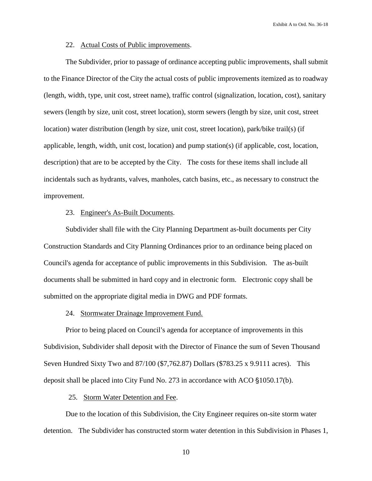#### 22. Actual Costs of Public improvements.

The Subdivider, prior to passage of ordinance accepting public improvements, shall submit to the Finance Director of the City the actual costs of public improvements itemized as to roadway (length, width, type, unit cost, street name), traffic control (signalization, location, cost), sanitary sewers (length by size, unit cost, street location), storm sewers (length by size, unit cost, street location) water distribution (length by size, unit cost, street location), park/bike trail(s) (if applicable, length, width, unit cost, location) and pump station(s) (if applicable, cost, location, description) that are to be accepted by the City. The costs for these items shall include all incidentals such as hydrants, valves, manholes, catch basins, etc., as necessary to construct the improvement.

## 23. Engineer's As-Built Documents.

Subdivider shall file with the City Planning Department as-built documents per City Construction Standards and City Planning Ordinances prior to an ordinance being placed on Council's agenda for acceptance of public improvements in this Subdivision. The as-built documents shall be submitted in hard copy and in electronic form. Electronic copy shall be submitted on the appropriate digital media in DWG and PDF formats.

## 24. Stormwater Drainage Improvement Fund.

Prior to being placed on Council's agenda for acceptance of improvements in this Subdivision, Subdivider shall deposit with the Director of Finance the sum of Seven Thousand Seven Hundred Sixty Two and 87/100 (\$7,762.87) Dollars (\$783.25 x 9.9111 acres). This deposit shall be placed into City Fund No. 273 in accordance with ACO  $\S 1050.17(b)$ .

# 25. Storm Water Detention and Fee.

Due to the location of this Subdivision, the City Engineer requires on-site storm water detention. The Subdivider has constructed storm water detention in this Subdivision in Phases 1,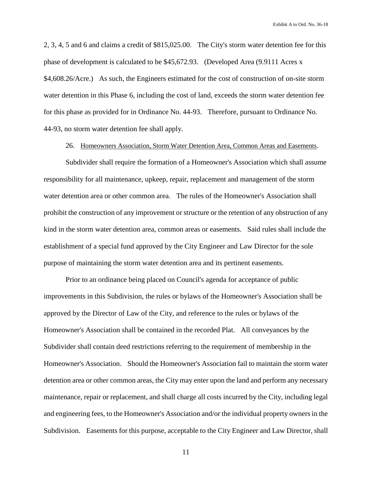2, 3, 4, 5 and 6 and claims a credit of \$815,025.00. The City's storm water detention fee for this phase of development is calculated to be \$45,672.93. (Developed Area (9.9111 Acres x \$4,608.26/Acre.) As such, the Engineers estimated for the cost of construction of on-site storm water detention in this Phase 6, including the cost of land, exceeds the storm water detention fee for this phase as provided for in Ordinance No. 44-93. Therefore, pursuant to Ordinance No. 44-93, no storm water detention fee shall apply.

26. Homeowners Association, Storm Water Detention Area, Common Areas and Easements.

Subdivider shall require the formation of a Homeowner's Association which shall assume responsibility for all maintenance, upkeep, repair, replacement and management of the storm water detention area or other common area. The rules of the Homeowner's Association shall prohibit the construction of any improvement or structure or the retention of any obstruction of any kind in the storm water detention area, common areas or easements. Said rules shall include the establishment of a special fund approved by the City Engineer and Law Director for the sole purpose of maintaining the storm water detention area and its pertinent easements.

Prior to an ordinance being placed on Council's agenda for acceptance of public improvements in this Subdivision, the rules or bylaws of the Homeowner's Association shall be approved by the Director of Law of the City, and reference to the rules or bylaws of the Homeowner's Association shall be contained in the recorded Plat. All conveyances by the Subdivider shall contain deed restrictions referring to the requirement of membership in the Homeowner's Association. Should the Homeowner's Association fail to maintain the storm water detention area or other common areas, the City may enter upon the land and perform any necessary maintenance, repair or replacement, and shall charge all costs incurred by the City, including legal and engineering fees, to the Homeowner's Association and/or the individual property owners in the Subdivision. Easements for this purpose, acceptable to the City Engineer and Law Director, shall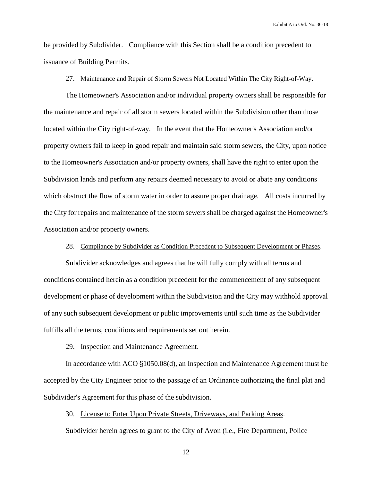be provided by Subdivider. Compliance with this Section shall be a condition precedent to issuance of Building Permits.

## 27. Maintenance and Repair of Storm Sewers Not Located Within The City Right-of-Way.

The Homeowner's Association and/or individual property owners shall be responsible for the maintenance and repair of all storm sewers located within the Subdivision other than those located within the City right-of-way. In the event that the Homeowner's Association and/or property owners fail to keep in good repair and maintain said storm sewers, the City, upon notice to the Homeowner's Association and/or property owners, shall have the right to enter upon the Subdivision lands and perform any repairs deemed necessary to avoid or abate any conditions which obstruct the flow of storm water in order to assure proper drainage. All costs incurred by the City for repairs and maintenance of the storm sewers shall be charged against the Homeowner's Association and/or property owners.

# 28. Compliance by Subdivider as Condition Precedent to Subsequent Development or Phases.

Subdivider acknowledges and agrees that he will fully comply with all terms and conditions contained herein as a condition precedent for the commencement of any subsequent development or phase of development within the Subdivision and the City may withhold approval of any such subsequent development or public improvements until such time as the Subdivider fulfills all the terms, conditions and requirements set out herein.

#### 29. Inspection and Maintenance Agreement.

In accordance with  $ACO \{1050.08(d)\}$ , an Inspection and Maintenance Agreement must be accepted by the City Engineer prior to the passage of an Ordinance authorizing the final plat and Subdivider's Agreement for this phase of the subdivision.

# 30. License to Enter Upon Private Streets, Driveways, and Parking Areas.

Subdivider herein agrees to grant to the City of Avon (i.e., Fire Department, Police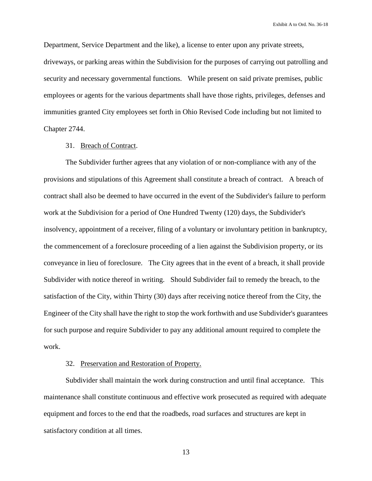Department, Service Department and the like), a license to enter upon any private streets, driveways, or parking areas within the Subdivision for the purposes of carrying out patrolling and security and necessary governmental functions. While present on said private premises, public employees or agents for the various departments shall have those rights, privileges, defenses and immunities granted City employees set forth in Ohio Revised Code including but not limited to Chapter 2744.

# 31. Breach of Contract.

The Subdivider further agrees that any violation of or non-compliance with any of the provisions and stipulations of this Agreement shall constitute a breach of contract. A breach of contract shall also be deemed to have occurred in the event of the Subdivider's failure to perform work at the Subdivision for a period of One Hundred Twenty (120) days, the Subdivider's insolvency, appointment of a receiver, filing of a voluntary or involuntary petition in bankruptcy, the commencement of a foreclosure proceeding of a lien against the Subdivision property, or its conveyance in lieu of foreclosure. The City agrees that in the event of a breach, it shall provide Subdivider with notice thereof in writing. Should Subdivider fail to remedy the breach, to the satisfaction of the City, within Thirty (30) days after receiving notice thereof from the City, the Engineer of the City shall have the right to stop the work forthwith and use Subdivider's guarantees for such purpose and require Subdivider to pay any additional amount required to complete the work.

# 32. Preservation and Restoration of Property.

Subdivider shall maintain the work during construction and until final acceptance. This maintenance shall constitute continuous and effective work prosecuted as required with adequate equipment and forces to the end that the roadbeds, road surfaces and structures are kept in satisfactory condition at all times.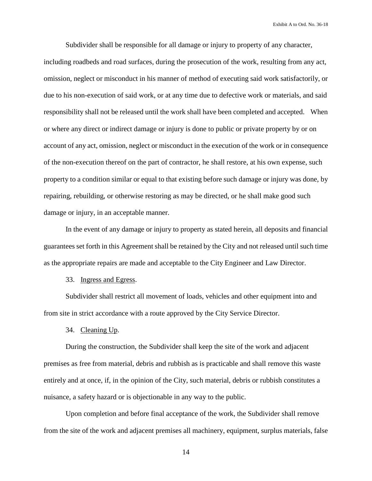Subdivider shall be responsible for all damage or injury to property of any character, including roadbeds and road surfaces, during the prosecution of the work, resulting from any act, omission, neglect or misconduct in his manner of method of executing said work satisfactorily, or due to his non-execution of said work, or at any time due to defective work or materials, and said responsibility shall not be released until the work shall have been completed and accepted. When or where any direct or indirect damage or injury is done to public or private property by or on account of any act, omission, neglect or misconduct in the execution of the work or in consequence of the non-execution thereof on the part of contractor, he shall restore, at his own expense, such property to a condition similar or equal to that existing before such damage or injury was done, by repairing, rebuilding, or otherwise restoring as may be directed, or he shall make good such damage or injury, in an acceptable manner.

In the event of any damage or injury to property as stated herein, all deposits and financial guarantees set forth in this Agreement shall be retained by the City and not released until such time as the appropriate repairs are made and acceptable to the City Engineer and Law Director.

33. Ingress and Egress.

Subdivider shall restrict all movement of loads, vehicles and other equipment into and from site in strict accordance with a route approved by the City Service Director.

34. Cleaning Up.

During the construction, the Subdivider shall keep the site of the work and adjacent premises as free from material, debris and rubbish as is practicable and shall remove this waste entirely and at once, if, in the opinion of the City, such material, debris or rubbish constitutes a nuisance, a safety hazard or is objectionable in any way to the public.

Upon completion and before final acceptance of the work, the Subdivider shall remove from the site of the work and adjacent premises all machinery, equipment, surplus materials, false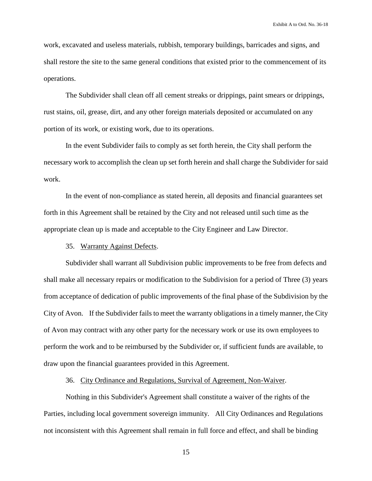work, excavated and useless materials, rubbish, temporary buildings, barricades and signs, and shall restore the site to the same general conditions that existed prior to the commencement of its operations.

The Subdivider shall clean off all cement streaks or drippings, paint smears or drippings, rust stains, oil, grease, dirt, and any other foreign materials deposited or accumulated on any portion of its work, or existing work, due to its operations.

In the event Subdivider fails to comply as set forth herein, the City shall perform the necessary work to accomplish the clean up set forth herein and shall charge the Subdivider for said work.

In the event of non-compliance as stated herein, all deposits and financial guarantees set forth in this Agreement shall be retained by the City and not released until such time as the appropriate clean up is made and acceptable to the City Engineer and Law Director.

35. Warranty Against Defects.

Subdivider shall warrant all Subdivision public improvements to be free from defects and shall make all necessary repairs or modification to the Subdivision for a period of Three (3) years from acceptance of dedication of public improvements of the final phase of the Subdivision by the City of Avon. If the Subdivider fails to meet the warranty obligations in a timely manner, the City of Avon may contract with any other party for the necessary work or use its own employees to perform the work and to be reimbursed by the Subdivider or, if sufficient funds are available, to draw upon the financial guarantees provided in this Agreement.

36. City Ordinance and Regulations, Survival of Agreement, Non-Waiver.

Nothing in this Subdivider's Agreement shall constitute a waiver of the rights of the Parties, including local government sovereign immunity. All City Ordinances and Regulations not inconsistent with this Agreement shall remain in full force and effect, and shall be binding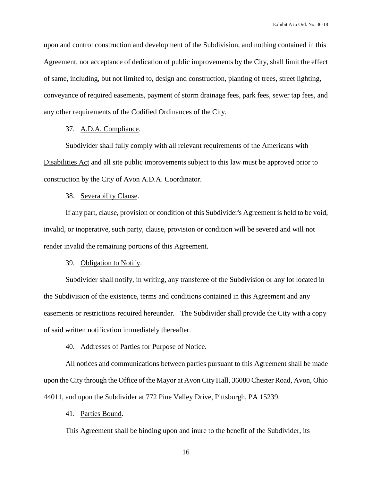upon and control construction and development of the Subdivision, and nothing contained in this Agreement, nor acceptance of dedication of public improvements by the City, shall limit the effect of same, including, but not limited to, design and construction, planting of trees, street lighting, conveyance of required easements, payment of storm drainage fees, park fees, sewer tap fees, and any other requirements of the Codified Ordinances of the City.

# 37. A.D.A. Compliance.

Subdivider shall fully comply with all relevant requirements of the Americans with Disabilities Act and all site public improvements subject to this law must be approved prior to construction by the City of Avon A.D.A. Coordinator.

#### 38. Severability Clause.

If any part, clause, provision or condition of this Subdivider's Agreement is held to be void, invalid, or inoperative, such party, clause, provision or condition will be severed and will not render invalid the remaining portions of this Agreement.

#### 39. Obligation to Notify.

Subdivider shall notify, in writing, any transferee of the Subdivision or any lot located in the Subdivision of the existence, terms and conditions contained in this Agreement and any easements or restrictions required hereunder. The Subdivider shall provide the City with a copy of said written notification immediately thereafter.

#### 40. Addresses of Parties for Purpose of Notice.

All notices and communications between parties pursuant to this Agreement shall be made upon the City through the Office of the Mayor at Avon City Hall, 36080 Chester Road, Avon, Ohio 44011, and upon the Subdivider at 772 Pine Valley Drive, Pittsburgh, PA 15239.

# 41. Parties Bound.

This Agreement shall be binding upon and inure to the benefit of the Subdivider, its